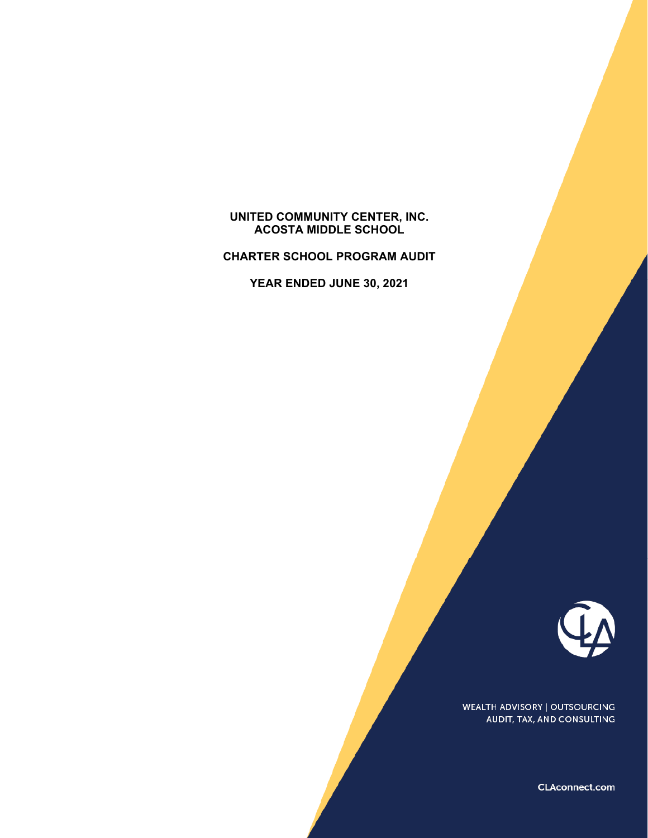#### **UNITED COMMUNITY CENTER, INC. ACOSTA MIDDLE SCHOOL**

**CHARTER SCHOOL PROGRAM AUDIT**

**YEAR ENDED JUNE 30, 2021**



**WEALTH ADVISORY | OUTSOURCING** AUDIT, TAX, AND CONSULTING

CLAconnect.com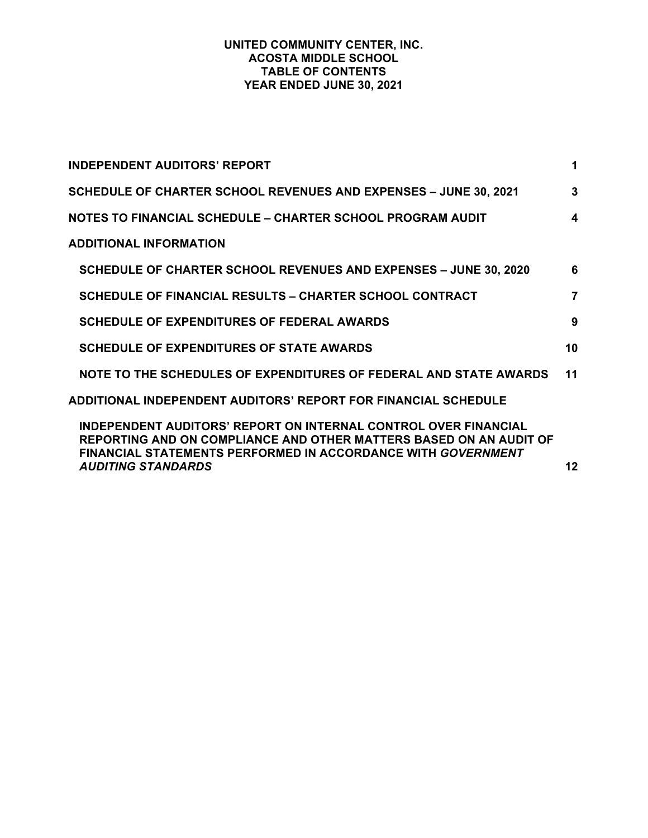## **UNITED COMMUNITY CENTER, INC. ACOSTA MIDDLE SCHOOL TABLE OF CONTENTS YEAR ENDED JUNE 30, 2021**

| <b>INDEPENDENT AUDITORS' REPORT</b>                                                                                                                                                                                                              | 1                |
|--------------------------------------------------------------------------------------------------------------------------------------------------------------------------------------------------------------------------------------------------|------------------|
| <b>SCHEDULE OF CHARTER SCHOOL REVENUES AND EXPENSES - JUNE 30, 2021</b>                                                                                                                                                                          | $\mathbf{3}$     |
| NOTES TO FINANCIAL SCHEDULE - CHARTER SCHOOL PROGRAM AUDIT                                                                                                                                                                                       | $\boldsymbol{4}$ |
| <b>ADDITIONAL INFORMATION</b>                                                                                                                                                                                                                    |                  |
| <b>SCHEDULE OF CHARTER SCHOOL REVENUES AND EXPENSES - JUNE 30, 2020</b>                                                                                                                                                                          | 6                |
| SCHEDULE OF FINANCIAL RESULTS - CHARTER SCHOOL CONTRACT                                                                                                                                                                                          | $\overline{7}$   |
| <b>SCHEDULE OF EXPENDITURES OF FEDERAL AWARDS</b>                                                                                                                                                                                                | 9                |
| <b>SCHEDULE OF EXPENDITURES OF STATE AWARDS</b>                                                                                                                                                                                                  | 10               |
| NOTE TO THE SCHEDULES OF EXPENDITURES OF FEDERAL AND STATE AWARDS                                                                                                                                                                                | 11               |
| ADDITIONAL INDEPENDENT AUDITORS' REPORT FOR FINANCIAL SCHEDULE                                                                                                                                                                                   |                  |
| <b>INDEPENDENT AUDITORS' REPORT ON INTERNAL CONTROL OVER FINANCIAL</b><br>REPORTING AND ON COMPLIANCE AND OTHER MATTERS BASED ON AN AUDIT OF<br><b>FINANCIAL STATEMENTS PERFORMED IN ACCORDANCE WITH GOVERNMENT</b><br><b>AUDITING STANDARDS</b> | 12               |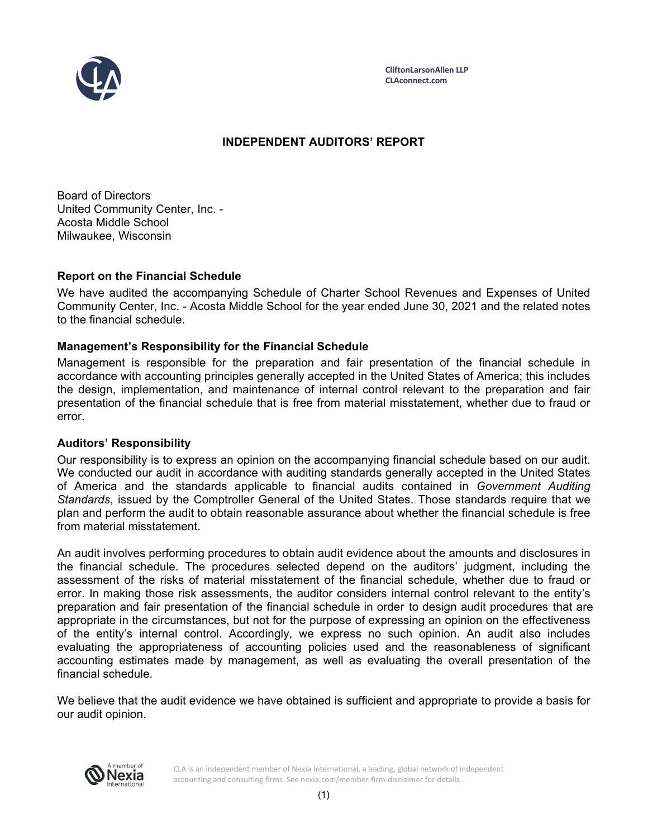

# **INDEPENDENT AUDITORS' REPORT**

Board of Directors United Community Center, Inc. - Acosta Middle School Milwaukee, Wisconsin

# **Report on the Financial Schedule**

We have audited the accompanying Schedule of Charter School Revenues and Expenses of United Community Center, Inc. - Acosta Middle School for the year ended June 30, 2021 and the related notes to the financial schedule.

# **Management's Responsibility for the Financial Schedule**

Management is responsible for the preparation and fair presentation of the financial schedule in accordance with accounting principles generally accepted in the United States of America; this includes the design, implementation, and maintenance of internal control relevant to the preparation and fair presentation of the financial schedule that is free from material misstatement, whether due to fraud or error.

# **Auditors' Responsibility**

Our responsibility is to express an opinion on the accompanying financial schedule based on our audit. We conducted our audit in accordance with auditing standards generally accepted in the United States of America and the standards applicable to financial audits contained in *Government Auditing Standards*, issued by the Comptroller General of the United States. Those standards require that we plan and perform the audit to obtain reasonable assurance about whether the financial schedule is free from material misstatement.

An audit involves performing procedures to obtain audit evidence about the amounts and disclosures in the financial schedule. The procedures selected depend on the auditors' judgment, including the assessment of the risks of material misstatement of the financial schedule, whether due to fraud or error. In making those risk assessments, the auditor considers internal control relevant to the entity's preparation and fair presentation of the financial schedule in order to design audit procedures that are appropriate in the circumstances, but not for the purpose of expressing an opinion on the effectiveness of the entity's internal control. Accordingly, we express no such opinion. An audit also includes evaluating the appropriateness of accounting policies used and the reasonableness of significant accounting estimates made by management, as well as evaluating the overall presentation of the financial schedule.

We believe that the audit evidence we have obtained is sufficient and appropriate to provide a basis for our audit opinion.



CLA is an independent member of Nexia International, a leading, global network of independent accounting and consulting firms. See nexia.com/member-firm-disclaimer for details.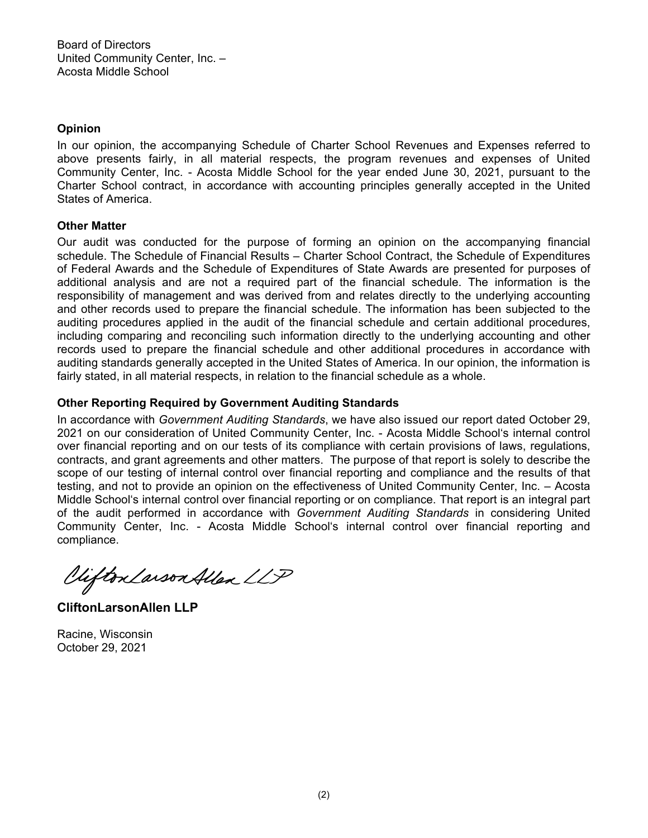# **Opinion**

In our opinion, the accompanying Schedule of Charter School Revenues and Expenses referred to above presents fairly, in all material respects, the program revenues and expenses of United Community Center, Inc. - Acosta Middle School for the year ended June 30, 2021, pursuant to the Charter School contract, in accordance with accounting principles generally accepted in the United States of America.

# **Other Matter**

Our audit was conducted for the purpose of forming an opinion on the accompanying financial schedule. The Schedule of Financial Results – Charter School Contract, the Schedule of Expenditures of Federal Awards and the Schedule of Expenditures of State Awards are presented for purposes of additional analysis and are not a required part of the financial schedule. The information is the responsibility of management and was derived from and relates directly to the underlying accounting and other records used to prepare the financial schedule. The information has been subjected to the auditing procedures applied in the audit of the financial schedule and certain additional procedures, including comparing and reconciling such information directly to the underlying accounting and other records used to prepare the financial schedule and other additional procedures in accordance with auditing standards generally accepted in the United States of America. In our opinion, the information is fairly stated, in all material respects, in relation to the financial schedule as a whole.

# **Other Reporting Required by Government Auditing Standards**

In accordance with *Government Auditing Standards*, we have also issued our report dated October 29, 2021 on our consideration of United Community Center, Inc. - Acosta Middle School's internal control over financial reporting and on our tests of its compliance with certain provisions of laws, regulations, contracts, and grant agreements and other matters. The purpose of that report is solely to describe the scope of our testing of internal control over financial reporting and compliance and the results of that testing, and not to provide an opinion on the effectiveness of United Community Center, Inc. – Acosta Middle School's internal control over financial reporting or on compliance. That report is an integral part of the audit performed in accordance with *Government Auditing Standards* in considering United Community Center, Inc. - Acosta Middle School's internal control over financial reporting and compliance.

Vifton Larson Allen LLP

**CliftonLarsonAllen LLP**

Racine, Wisconsin October 29, 2021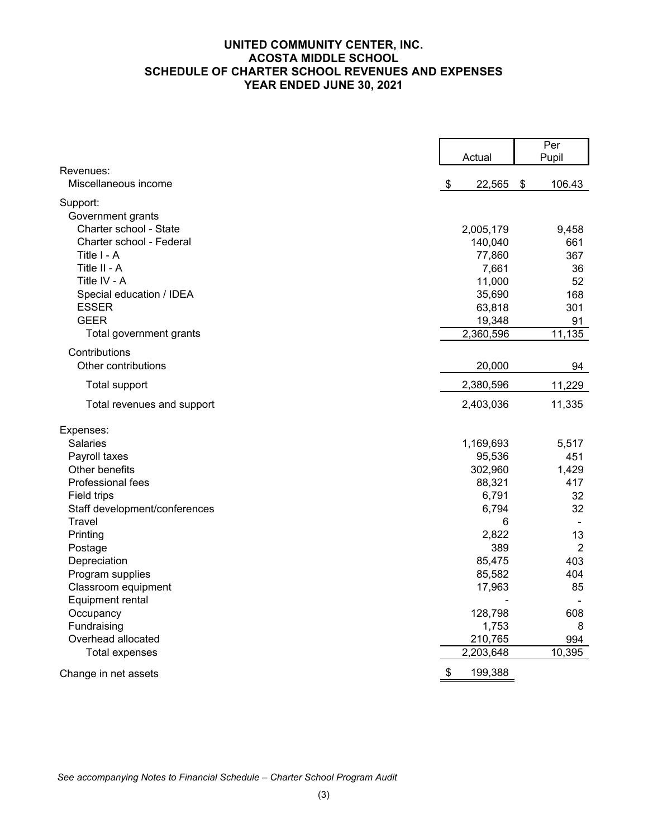# **UNITED COMMUNITY CENTER, INC. ACOSTA MIDDLE SCHOOL SCHEDULE OF CHARTER SCHOOL REVENUES AND EXPENSES YEAR ENDED JUNE 30, 2021**

|                                   |                         | $\overline{Per}$ |
|-----------------------------------|-------------------------|------------------|
|                                   | Actual                  | Pupil            |
| Revenues:<br>Miscellaneous income | 22,565<br>$\frac{3}{2}$ | \$<br>106.43     |
|                                   |                         |                  |
| Support:                          |                         |                  |
| Government grants                 |                         |                  |
| Charter school - State            | 2,005,179               | 9,458            |
| Charter school - Federal          | 140,040                 | 661              |
| Title I - A                       | 77,860                  | 367              |
| Title II - A                      | 7,661                   | 36               |
| Title IV - A                      | 11,000                  | 52               |
| Special education / IDEA          | 35,690                  | 168              |
| <b>ESSER</b>                      | 63,818                  | 301              |
| <b>GEER</b>                       | 19,348                  | 91               |
| Total government grants           | 2,360,596               | 11,135           |
| Contributions                     |                         |                  |
| Other contributions               | 20,000                  | 94               |
| Total support                     | 2,380,596               | 11,229           |
| Total revenues and support        | 2,403,036               | 11,335           |
| Expenses:                         |                         |                  |
| Salaries                          | 1,169,693               | 5,517            |
| Payroll taxes                     | 95,536                  | 451              |
| Other benefits                    | 302,960                 | 1,429            |
| Professional fees                 | 88,321                  | 417              |
| Field trips                       | 6,791                   | 32               |
| Staff development/conferences     | 6,794                   | 32               |
| <b>Travel</b>                     | 6                       | $\blacksquare$   |
| Printing                          | 2,822                   | 13               |
| Postage                           | 389                     | $\overline{2}$   |
| Depreciation                      | 85,475                  | 403              |
| Program supplies                  | 85,582                  | 404              |
| Classroom equipment               | 17,963                  | 85               |
| Equipment rental                  |                         |                  |
| Occupancy                         | 128,798                 | 608              |
| Fundraising                       | 1,753                   | 8                |
| Overhead allocated                | 210,765                 | 994              |
| <b>Total expenses</b>             | 2,203,648               | 10,395           |
| Change in net assets              | \$<br>199,388           |                  |

*See accompanying Notes to Financial Schedule – Charter School Program Audit*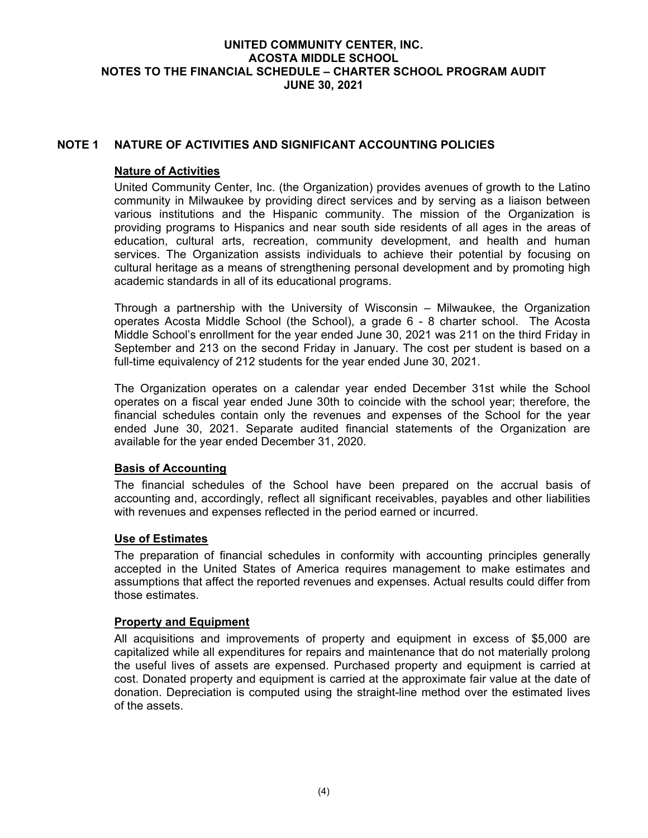### **UNITED COMMUNITY CENTER, INC. ACOSTA MIDDLE SCHOOL NOTES TO THE FINANCIAL SCHEDULE – CHARTER SCHOOL PROGRAM AUDIT JUNE 30, 2021**

# **NOTE 1 NATURE OF ACTIVITIES AND SIGNIFICANT ACCOUNTING POLICIES**

## **Nature of Activities**

United Community Center, Inc. (the Organization) provides avenues of growth to the Latino community in Milwaukee by providing direct services and by serving as a liaison between various institutions and the Hispanic community. The mission of the Organization is providing programs to Hispanics and near south side residents of all ages in the areas of education, cultural arts, recreation, community development, and health and human services. The Organization assists individuals to achieve their potential by focusing on cultural heritage as a means of strengthening personal development and by promoting high academic standards in all of its educational programs.

Through a partnership with the University of Wisconsin – Milwaukee, the Organization operates Acosta Middle School (the School), a grade 6 - 8 charter school. The Acosta Middle School's enrollment for the year ended June 30, 2021 was 211 on the third Friday in September and 213 on the second Friday in January. The cost per student is based on a full-time equivalency of 212 students for the year ended June 30, 2021.

The Organization operates on a calendar year ended December 31st while the School operates on a fiscal year ended June 30th to coincide with the school year; therefore, the financial schedules contain only the revenues and expenses of the School for the year ended June 30, 2021. Separate audited financial statements of the Organization are available for the year ended December 31, 2020.

# **Basis of Accounting**

The financial schedules of the School have been prepared on the accrual basis of accounting and, accordingly, reflect all significant receivables, payables and other liabilities with revenues and expenses reflected in the period earned or incurred.

#### **Use of Estimates**

The preparation of financial schedules in conformity with accounting principles generally accepted in the United States of America requires management to make estimates and assumptions that affect the reported revenues and expenses. Actual results could differ from those estimates.

# **Property and Equipment**

All acquisitions and improvements of property and equipment in excess of \$5,000 are capitalized while all expenditures for repairs and maintenance that do not materially prolong the useful lives of assets are expensed. Purchased property and equipment is carried at cost. Donated property and equipment is carried at the approximate fair value at the date of donation. Depreciation is computed using the straight-line method over the estimated lives of the assets.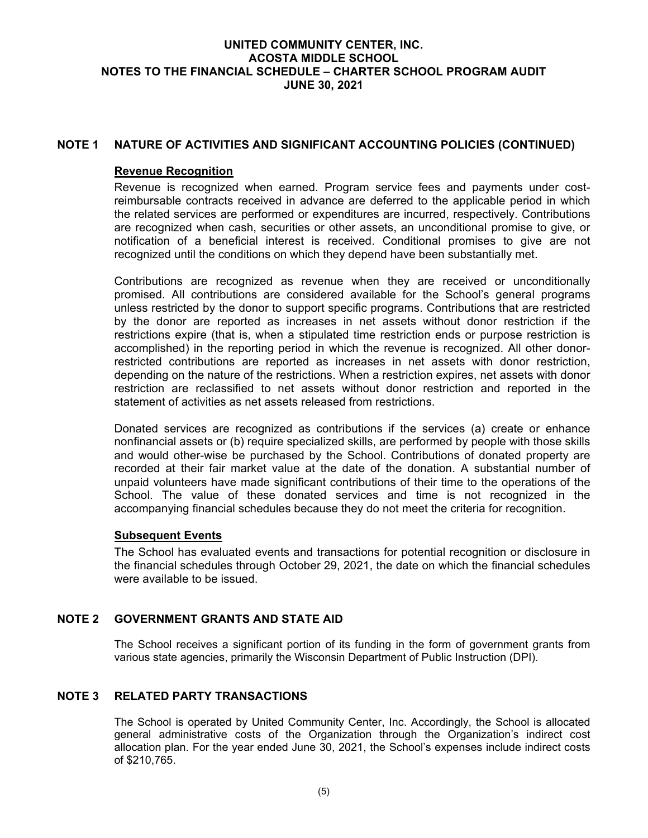### **UNITED COMMUNITY CENTER, INC. ACOSTA MIDDLE SCHOOL NOTES TO THE FINANCIAL SCHEDULE – CHARTER SCHOOL PROGRAM AUDIT JUNE 30, 2021**

### **NOTE 1 NATURE OF ACTIVITIES AND SIGNIFICANT ACCOUNTING POLICIES (CONTINUED)**

#### **Revenue Recognition**

Revenue is recognized when earned. Program service fees and payments under costreimbursable contracts received in advance are deferred to the applicable period in which the related services are performed or expenditures are incurred, respectively. Contributions are recognized when cash, securities or other assets, an unconditional promise to give, or notification of a beneficial interest is received. Conditional promises to give are not recognized until the conditions on which they depend have been substantially met.

Contributions are recognized as revenue when they are received or unconditionally promised. All contributions are considered available for the School's general programs unless restricted by the donor to support specific programs. Contributions that are restricted by the donor are reported as increases in net assets without donor restriction if the restrictions expire (that is, when a stipulated time restriction ends or purpose restriction is accomplished) in the reporting period in which the revenue is recognized. All other donorrestricted contributions are reported as increases in net assets with donor restriction, depending on the nature of the restrictions. When a restriction expires, net assets with donor restriction are reclassified to net assets without donor restriction and reported in the statement of activities as net assets released from restrictions.

Donated services are recognized as contributions if the services (a) create or enhance nonfinancial assets or (b) require specialized skills, are performed by people with those skills and would other-wise be purchased by the School. Contributions of donated property are recorded at their fair market value at the date of the donation. A substantial number of unpaid volunteers have made significant contributions of their time to the operations of the School. The value of these donated services and time is not recognized in the accompanying financial schedules because they do not meet the criteria for recognition.

#### **Subsequent Events**

The School has evaluated events and transactions for potential recognition or disclosure in the financial schedules through October 29, 2021, the date on which the financial schedules were available to be issued.

# **NOTE 2 GOVERNMENT GRANTS AND STATE AID**

The School receives a significant portion of its funding in the form of government grants from various state agencies, primarily the Wisconsin Department of Public Instruction (DPI).

#### **NOTE 3 RELATED PARTY TRANSACTIONS**

The School is operated by United Community Center, Inc. Accordingly, the School is allocated general administrative costs of the Organization through the Organization's indirect cost allocation plan. For the year ended June 30, 2021, the School's expenses include indirect costs of \$210,765.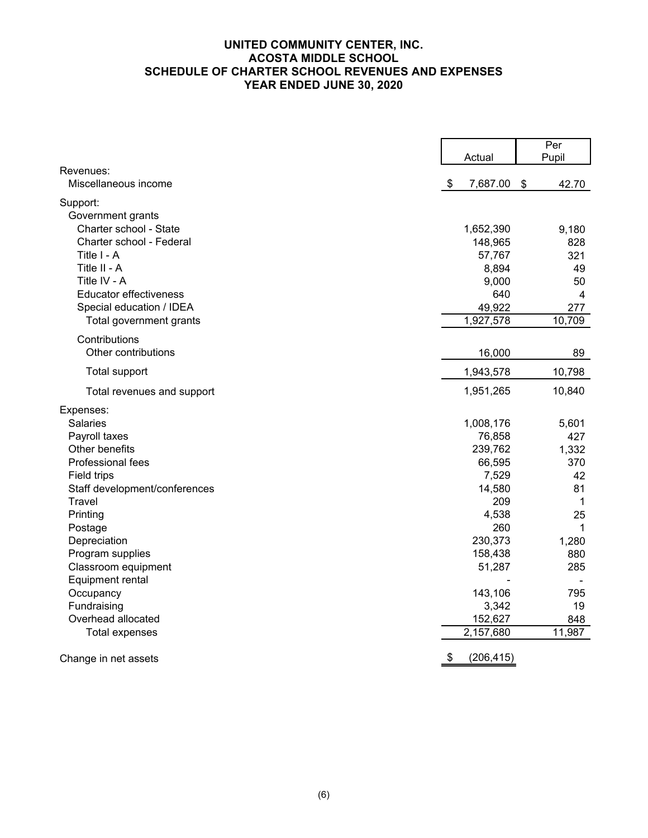# **UNITED COMMUNITY CENTER, INC. ACOSTA MIDDLE SCHOOL SCHEDULE OF CHARTER SCHOOL REVENUES AND EXPENSES YEAR ENDED JUNE 30, 2020**

|                               |                  | Per         |
|-------------------------------|------------------|-------------|
|                               | Actual           | Pupil       |
| Revenues:                     |                  |             |
| Miscellaneous income          | \$<br>7,687.00   | 42.70<br>\$ |
| Support:                      |                  |             |
| Government grants             |                  |             |
| Charter school - State        | 1,652,390        | 9,180       |
| Charter school - Federal      | 148,965          | 828         |
| Title I - A                   | 57,767           | 321         |
| Title II - A                  | 8,894            | 49          |
| Title IV - A                  | 9,000            | 50          |
| <b>Educator effectiveness</b> | 640              | 4           |
| Special education / IDEA      | 49,922           | 277         |
| Total government grants       | 1,927,578        | 10,709      |
| Contributions                 |                  |             |
| Other contributions           | 16,000           | 89          |
| Total support                 | 1,943,578        | 10,798      |
| Total revenues and support    | 1,951,265        | 10,840      |
| Expenses:                     |                  |             |
| <b>Salaries</b>               | 1,008,176        | 5,601       |
| Payroll taxes                 | 76,858           | 427         |
| Other benefits                | 239,762          | 1,332       |
| Professional fees             | 66,595           | 370         |
| Field trips                   | 7,529            | 42          |
| Staff development/conferences | 14,580           | 81          |
| Travel                        | 209              | 1           |
| Printing                      | 4,538            | 25          |
| Postage                       | 260              | 1           |
| Depreciation                  | 230,373          | 1,280       |
| Program supplies              | 158,438          | 880         |
| Classroom equipment           | 51,287           | 285         |
| Equipment rental              |                  |             |
| Occupancy                     | 143,106          | 795         |
| Fundraising                   | 3,342            | 19          |
| Overhead allocated            | 152,627          | 848         |
| Total expenses                | 2,157,680        | 11,987      |
| Change in net assets          | \$<br>(206, 415) |             |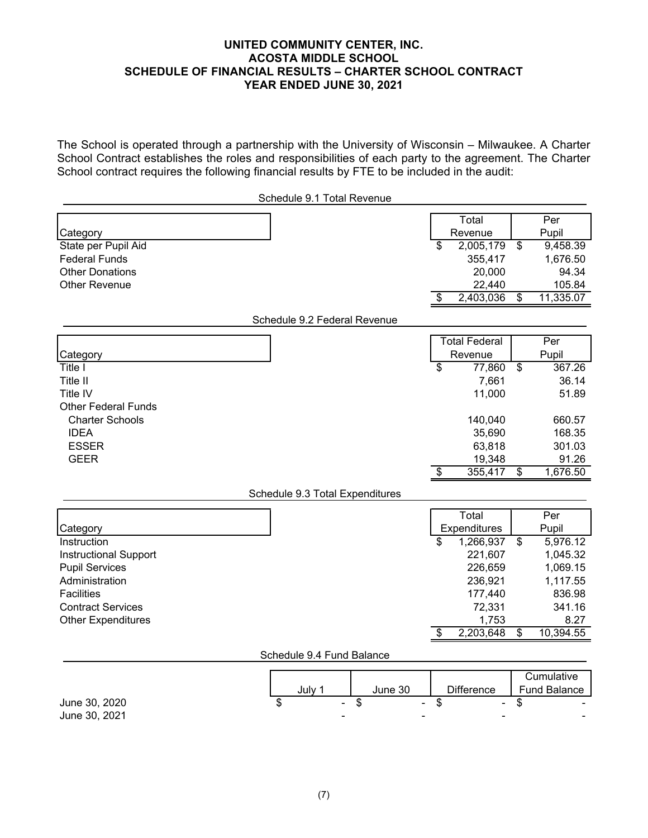#### **UNITED COMMUNITY CENTER, INC. ACOSTA MIDDLE SCHOOL SCHEDULE OF FINANCIAL RESULTS – CHARTER SCHOOL CONTRACT YEAR ENDED JUNE 30, 2021**

The School is operated through a partnership with the University of Wisconsin – Milwaukee. A Charter School Contract establishes the roles and responsibilities of each party to the agreement. The Charter School contract requires the following financial results by FTE to be included in the audit:

|                              | Schedule 9.1 Total Revenue      |                                             |                                                |
|------------------------------|---------------------------------|---------------------------------------------|------------------------------------------------|
|                              |                                 | Total                                       | Per                                            |
| Category                     |                                 | Revenue                                     | Pupil                                          |
| State per Pupil Aid          |                                 | 2,005,179<br>\$                             | 9,458.39<br>\$                                 |
| <b>Federal Funds</b>         |                                 | 355,417                                     | 1,676.50                                       |
| <b>Other Donations</b>       |                                 | 20,000                                      | 94.34                                          |
| <b>Other Revenue</b>         |                                 | 22,440                                      | 105.84                                         |
|                              |                                 | 2,403,036<br>$\overline{\mathcal{S}}$       | 11,335.07<br>$\overline{\mathcal{S}}$          |
|                              | Schedule 9.2 Federal Revenue    |                                             |                                                |
|                              |                                 | <b>Total Federal</b>                        | Per                                            |
| Category                     |                                 | Revenue                                     | Pupil                                          |
| Title I                      |                                 | $\overline{\$}$<br>77,860                   | \$<br>367.26                                   |
| Title II                     |                                 | 7,661                                       | 36.14                                          |
| Title IV                     |                                 | 11,000                                      | 51.89                                          |
| <b>Other Federal Funds</b>   |                                 |                                             |                                                |
| <b>Charter Schools</b>       |                                 | 140,040                                     | 660.57                                         |
| <b>IDEA</b>                  |                                 | 35,690                                      | 168.35                                         |
| <b>ESSER</b>                 |                                 | 63,818                                      | 301.03                                         |
| <b>GEER</b>                  |                                 | 19,348                                      | 91.26                                          |
|                              |                                 | 355,417<br>$\overline{\boldsymbol{\theta}}$ | $\overline{\mathcal{S}}$<br>1,676.50           |
|                              | Schedule 9.3 Total Expenditures |                                             |                                                |
|                              |                                 | Total                                       | Per                                            |
|                              |                                 |                                             |                                                |
| Category<br>Instruction      |                                 | Expenditures<br>1,266,937<br>\$             | Pupil<br>$\boldsymbol{\mathsf{S}}$<br>5,976.12 |
| <b>Instructional Support</b> |                                 | 221,607                                     | 1,045.32                                       |
| <b>Pupil Services</b>        |                                 | 226,659                                     | 1,069.15                                       |
| Administration               |                                 | 236,921                                     | 1,117.55                                       |
| Facilities                   |                                 |                                             | 836.98                                         |
| <b>Contract Services</b>     |                                 | 177,440<br>72,331                           | 341.16                                         |
| <b>Other Expenditures</b>    |                                 | 1,753                                       | 8.27                                           |
|                              |                                 | 2,203,648<br>$\frac{1}{2}$                  | $\overline{\mathcal{S}}$<br>10,394.55          |
|                              | Schedule 9.4 Fund Balance       |                                             |                                                |
|                              |                                 |                                             |                                                |
|                              |                                 |                                             | Cumulative                                     |
|                              | June 30<br>July 1               | Difference                                  | <b>Fund Balance</b>                            |
| June 30, 2020                | \$<br>\$                        | \$                                          | \$                                             |

 $J$ une 30, 2021  $\sim$  -  $\sim$  -  $\sim$  -  $\sim$  -  $\sim$  -  $\sim$  -  $\sim$  -  $\sim$  -  $\sim$  -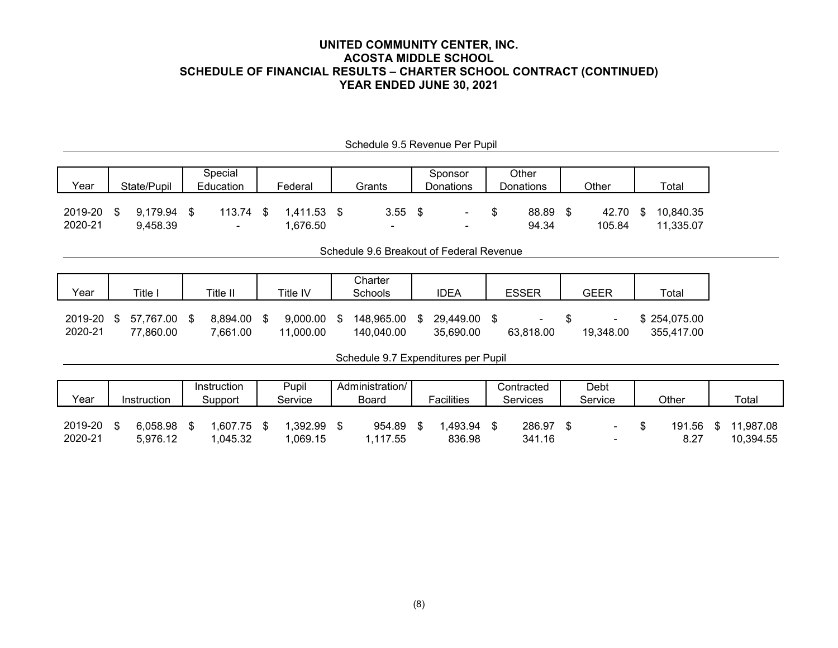### **UNITED COMMUNITY CENTER, INC. ACOSTA MIDDLE SCHOOL SCHEDULE OF FINANCIAL RESULTS – CHARTER SCHOOL CONTRACT (CONTINUED) YEAR ENDED JUNE 30, 2021**

|         |    |                    |     | Special                  |                |     |                                          |     | Sponsor           | Other        |             |    |              |                 |
|---------|----|--------------------|-----|--------------------------|----------------|-----|------------------------------------------|-----|-------------------|--------------|-------------|----|--------------|-----------------|
| Year    |    | State/Pupil        |     | Education                | Federal        |     | Grants                                   |     | Donations         | Donations    | Other       |    | Total        |                 |
|         |    |                    |     |                          |                |     |                                          |     |                   |              |             |    |              |                 |
| 2019-20 | \$ | 9,179.94 \$        |     | 113.74                   | \$<br>1,411.53 | \$  | 3.55                                     | -\$ |                   | \$<br>88.89  | \$<br>42.70 | -S | 10,840.35    |                 |
| 2020-21 |    | 9,458.39           |     | $\overline{\phantom{0}}$ | 1,676.50       |     | $\overline{\phantom{0}}$                 |     | $\blacksquare$    | 94.34        | 105.84      |    | 11,335.07    |                 |
|         |    |                    |     |                          |                |     |                                          |     |                   |              |             |    |              |                 |
|         |    |                    |     |                          |                |     | Schedule 9.6 Breakout of Federal Revenue |     |                   |              |             |    |              |                 |
|         |    |                    |     |                          |                |     |                                          |     |                   |              |             |    |              |                 |
|         |    |                    |     |                          |                |     | Charter                                  |     |                   |              |             |    |              |                 |
| Year    |    | Title I            |     | Title II                 | Title IV       |     | Schools                                  |     | <b>IDEA</b>       | <b>ESSER</b> | <b>GEER</b> |    | Total        |                 |
|         |    |                    |     |                          |                |     |                                          |     |                   |              |             |    |              |                 |
| 2019-20 | S. | 57,767.00 \$       |     | 8,894.00                 | \$<br>9,000.00 | \$. | 148,965.00                               | S   | 29,449.00         | \$           | \$          |    | \$254,075.00 |                 |
| 2020-21 |    | 77,860.00          |     | 7,661.00                 | 11,000.00      |     | 140,040.00                               |     | 35,690.00         | 63,818.00    | 19,348.00   |    | 355,417.00   |                 |
|         |    |                    |     |                          |                |     |                                          |     |                   |              |             |    |              |                 |
|         |    |                    |     |                          |                |     | Schedule 9.7 Expenditures per Pupil      |     |                   |              |             |    |              |                 |
|         |    |                    |     |                          |                |     |                                          |     |                   |              |             |    |              |                 |
|         |    |                    |     | Instruction              | Pupil          |     | Administration/                          |     |                   | Contracted   | Debt        |    |              |                 |
| Year    |    | <b>Instruction</b> |     | Support                  | Service        |     | Board                                    |     | <b>Facilities</b> | Services     | Service     |    | Other        | Total           |
|         |    |                    |     |                          |                |     |                                          |     |                   |              |             |    |              |                 |
| 2019-20 | \$ | 6,058.98           | -\$ | 1,607.75                 | \$<br>1,392.99 | \$  | 954.89                                   | \$  | 1,493.94          | \$<br>286.97 | \$          | \$ | 191.56       | \$<br>11,987.08 |

Schedule 9.5 Revenue Per Pupil

2020-21 5,976.12 1,045.32 1,069.15 1,117.55 836.98 341.16 - 8.27 10,394.55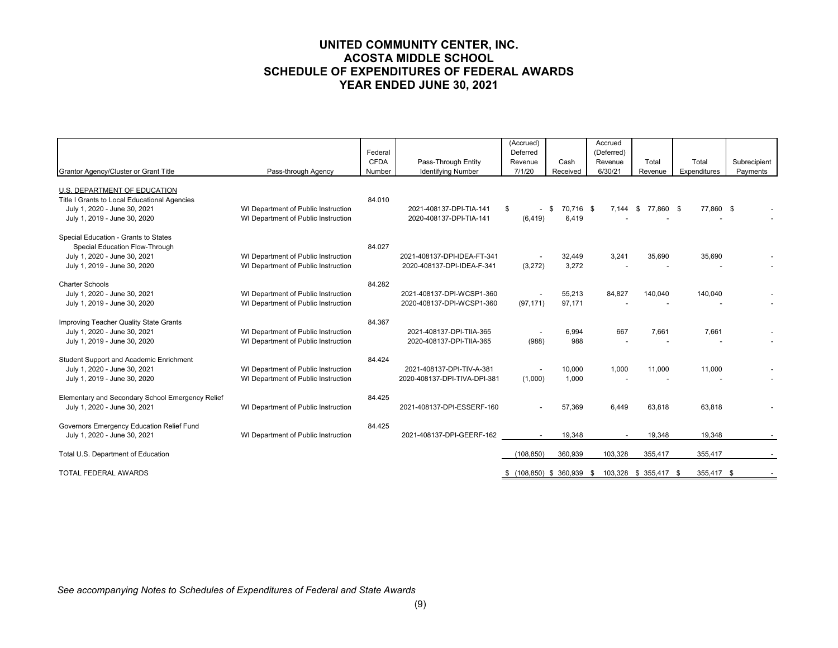#### **UNITED COMMUNITY CENTER, INC. ACOSTA MIDDLE SCHOOL SCHEDULE OF EXPENDITURES OF FEDERAL AWARDS YEAR ENDED JUNE 30, 2021**

| Grantor Agency/Cluster or Grant Title                                                                        | Pass-through Agency                                                        | Federal<br><b>CFDA</b><br>Number | Pass-Through Entity<br><b>Identifying Number</b>          | (Accrued)<br>Deferred<br>Revenue<br>7/1/20 | Cash<br>Received           | Accrued<br>(Deferred)<br>Revenue<br>6/30/21 | Total<br>Revenue      | Total<br>Expenditures | Subrecipient<br>Payments |
|--------------------------------------------------------------------------------------------------------------|----------------------------------------------------------------------------|----------------------------------|-----------------------------------------------------------|--------------------------------------------|----------------------------|---------------------------------------------|-----------------------|-----------------------|--------------------------|
| U.S. DEPARTMENT OF EDUCATION                                                                                 |                                                                            |                                  |                                                           |                                            |                            |                                             |                       |                       |                          |
| Title I Grants to Local Educational Agencies<br>July 1, 2020 - June 30, 2021<br>July 1, 2019 - June 30, 2020 | WI Department of Public Instruction<br>WI Department of Public Instruction | 84.010                           | 2021-408137-DPI-TIA-141<br>2020-408137-DPI-TIA-141        | S<br>(6, 419)                              | 70.716 \$<br>- \$<br>6,419 |                                             | 7,144 \$ 77,860 \$    | 77,860 \$             |                          |
| Special Education - Grants to States<br>Special Education Flow-Through                                       |                                                                            | 84.027                           |                                                           |                                            |                            |                                             |                       |                       |                          |
| July 1, 2020 - June 30, 2021<br>July 1, 2019 - June 30, 2020                                                 | WI Department of Public Instruction<br>WI Department of Public Instruction |                                  | 2021-408137-DPI-IDEA-FT-341<br>2020-408137-DPI-IDEA-F-341 | (3,272)                                    | 32,449<br>3,272            | 3,241                                       | 35,690                | 35,690                |                          |
| <b>Charter Schools</b>                                                                                       |                                                                            | 84.282                           |                                                           |                                            |                            |                                             |                       |                       |                          |
| July 1, 2020 - June 30, 2021<br>July 1, 2019 - June 30, 2020                                                 | WI Department of Public Instruction<br>WI Department of Public Instruction |                                  | 2021-408137-DPI-WCSP1-360<br>2020-408137-DPI-WCSP1-360    | (97, 171)                                  | 55,213<br>97,171           | 84,827                                      | 140,040               | 140.040               |                          |
| Improving Teacher Quality State Grants                                                                       |                                                                            | 84.367                           |                                                           |                                            |                            |                                             |                       |                       |                          |
| July 1, 2020 - June 30, 2021<br>July 1, 2019 - June 30, 2020                                                 | WI Department of Public Instruction<br>WI Department of Public Instruction |                                  | 2021-408137-DPI-TIIA-365<br>2020-408137-DPI-TIIA-365      | (988)                                      | 6,994<br>988               | 667                                         | 7,661                 | 7,661                 |                          |
| Student Support and Academic Enrichment                                                                      |                                                                            | 84.424                           |                                                           |                                            |                            |                                             |                       |                       |                          |
| July 1, 2020 - June 30, 2021<br>July 1, 2019 - June 30, 2020                                                 | WI Department of Public Instruction<br>WI Department of Public Instruction |                                  | 2021-408137-DPI-TIV-A-381<br>2020-408137-DPI-TIVA-DPI-381 | (1,000)                                    | 10,000<br>1,000            | 1,000                                       | 11,000                | 11,000                |                          |
| Elementary and Secondary School Emergency Relief<br>July 1, 2020 - June 30, 2021                             | WI Department of Public Instruction                                        | 84.425                           | 2021-408137-DPI-ESSERF-160                                |                                            | 57,369                     | 6,449                                       | 63,818                | 63,818                |                          |
| Governors Emergency Education Relief Fund<br>July 1, 2020 - June 30, 2021                                    | WI Department of Public Instruction                                        | 84.425                           | 2021-408137-DPI-GEERF-162                                 |                                            | 19,348                     |                                             | 19,348                | 19,348                |                          |
| Total U.S. Department of Education                                                                           |                                                                            |                                  |                                                           | (108, 850)                                 | 360,939                    | 103,328                                     | 355,417               | 355,417               |                          |
| <b>TOTAL FEDERAL AWARDS</b>                                                                                  |                                                                            |                                  |                                                           | $$$ (108,850) \$ 360,939 \$                |                            |                                             | 103,328 \$ 355,417 \$ | 355,417 \$            |                          |

*See accompanying Notes to Schedules of Expenditures of Federal and State Awards*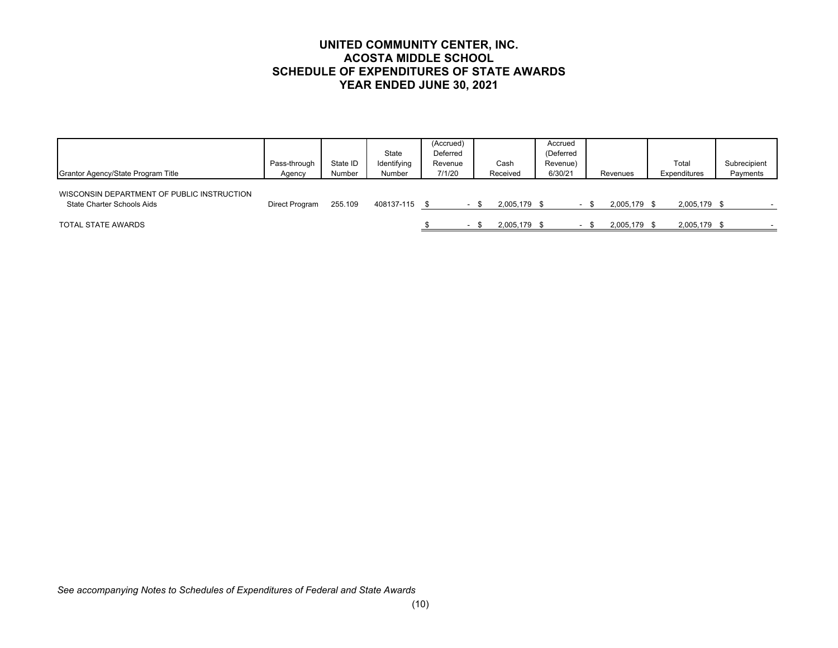### **UNITED COMMUNITY CENTER, INC. ACOSTA MIDDLE SCHOOL SCHEDULE OF EXPENDITURES OF STATE AWARDS YEAR ENDED JUNE 30, 2021**

| Grantor Agency/State Program Title                                       | Pass-through<br>Agency | State ID<br>Number | State<br>Identifying<br>Number | (Accrued)<br>Deferred<br>Revenue<br>7/1/20 |                          | Cash<br>Received | Accrued<br>(Deferred<br>Revenue)<br>6/30/21 | Revenues     | Total<br>Expenditures | Subrecipient<br>Payments |
|--------------------------------------------------------------------------|------------------------|--------------------|--------------------------------|--------------------------------------------|--------------------------|------------------|---------------------------------------------|--------------|-----------------------|--------------------------|
| WISCONSIN DEPARTMENT OF PUBLIC INSTRUCTION<br>State Charter Schools Aids | Direct Program         | 255.109            | 408137-115                     |                                            | $\overline{\phantom{0}}$ | 2,005,179 \$     | $\overline{\phantom{a}}$                    | 2,005,179 \$ | 2,005,179 \$          |                          |
| <b>TOTAL STATE AWARDS</b>                                                |                        |                    |                                |                                            | $\overline{\phantom{a}}$ | 2.005.179 \$     | $\sim$                                      | 2,005,179 \$ | 2,005,179 \$          |                          |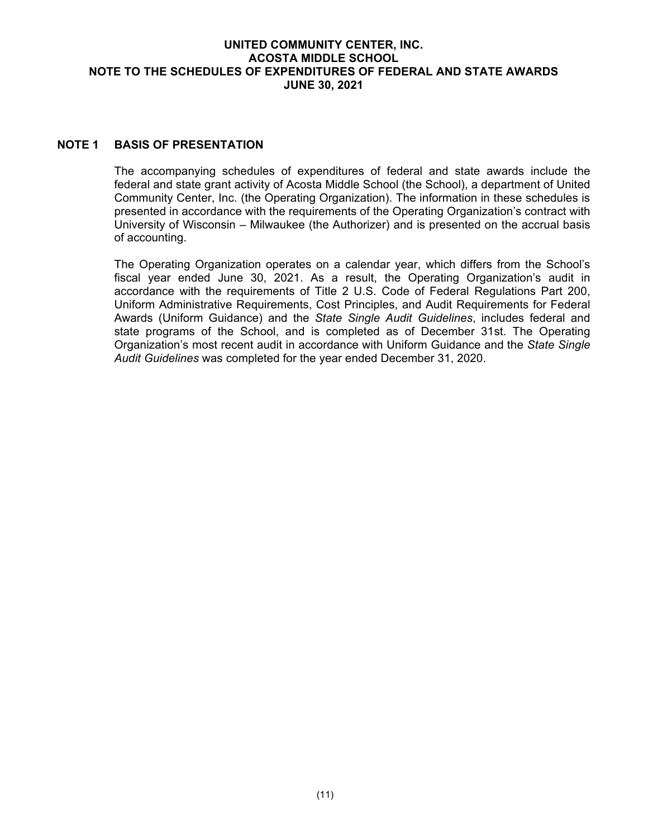### **UNITED COMMUNITY CENTER, INC. ACOSTA MIDDLE SCHOOL NOTE TO THE SCHEDULES OF EXPENDITURES OF FEDERAL AND STATE AWARDS JUNE 30, 2021**

## **NOTE 1 BASIS OF PRESENTATION**

The accompanying schedules of expenditures of federal and state awards include the federal and state grant activity of Acosta Middle School (the School), a department of United Community Center, Inc. (the Operating Organization). The information in these schedules is presented in accordance with the requirements of the Operating Organization's contract with University of Wisconsin – Milwaukee (the Authorizer) and is presented on the accrual basis of accounting.

The Operating Organization operates on a calendar year, which differs from the School's fiscal year ended June 30, 2021. As a result, the Operating Organization's audit in accordance with the requirements of Title 2 U.S. Code of Federal Regulations Part 200, Uniform Administrative Requirements, Cost Principles, and Audit Requirements for Federal Awards (Uniform Guidance) and the *State Single Audit Guidelines*, includes federal and state programs of the School, and is completed as of December 31st. The Operating Organization's most recent audit in accordance with Uniform Guidance and the *State Single Audit Guidelines* was completed for the year ended December 31, 2020.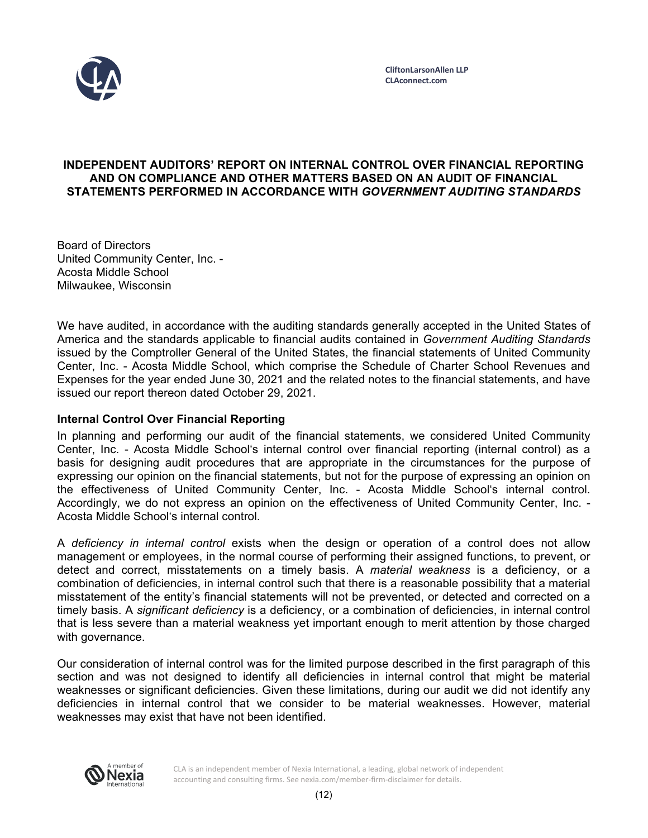

## **INDEPENDENT AUDITORS' REPORT ON INTERNAL CONTROL OVER FINANCIAL REPORTING AND ON COMPLIANCE AND OTHER MATTERS BASED ON AN AUDIT OF FINANCIAL STATEMENTS PERFORMED IN ACCORDANCE WITH** *GOVERNMENT AUDITING STANDARDS*

Board of Directors United Community Center, Inc. - Acosta Middle School Milwaukee, Wisconsin

We have audited, in accordance with the auditing standards generally accepted in the United States of America and the standards applicable to financial audits contained in *Government Auditing Standards*  issued by the Comptroller General of the United States, the financial statements of United Community Center, Inc. - Acosta Middle School, which comprise the Schedule of Charter School Revenues and Expenses for the year ended June 30, 2021 and the related notes to the financial statements, and have issued our report thereon dated October 29, 2021.

## **Internal Control Over Financial Reporting**

In planning and performing our audit of the financial statements, we considered United Community Center, Inc. - Acosta Middle School's internal control over financial reporting (internal control) as a basis for designing audit procedures that are appropriate in the circumstances for the purpose of expressing our opinion on the financial statements, but not for the purpose of expressing an opinion on the effectiveness of United Community Center, Inc. - Acosta Middle School's internal control. Accordingly, we do not express an opinion on the effectiveness of United Community Center, Inc. - Acosta Middle School's internal control.

A *deficiency in internal control* exists when the design or operation of a control does not allow management or employees, in the normal course of performing their assigned functions, to prevent, or detect and correct, misstatements on a timely basis. A *material weakness* is a deficiency, or a combination of deficiencies, in internal control such that there is a reasonable possibility that a material misstatement of the entity's financial statements will not be prevented, or detected and corrected on a timely basis. A *significant deficiency* is a deficiency, or a combination of deficiencies, in internal control that is less severe than a material weakness yet important enough to merit attention by those charged with governance.

Our consideration of internal control was for the limited purpose described in the first paragraph of this section and was not designed to identify all deficiencies in internal control that might be material weaknesses or significant deficiencies. Given these limitations, during our audit we did not identify any deficiencies in internal control that we consider to be material weaknesses. However, material weaknesses may exist that have not been identified.



CLA is an independent member of Nexia International, a leading, global network of independent accounting and consulting firms. See nexia.com/member-firm-disclaimer for details.